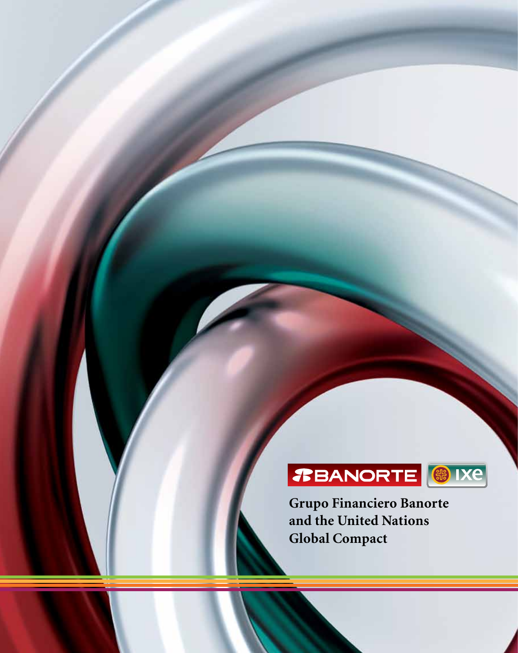

**Grupo Financiero Banorte and the United Nations Global Compact**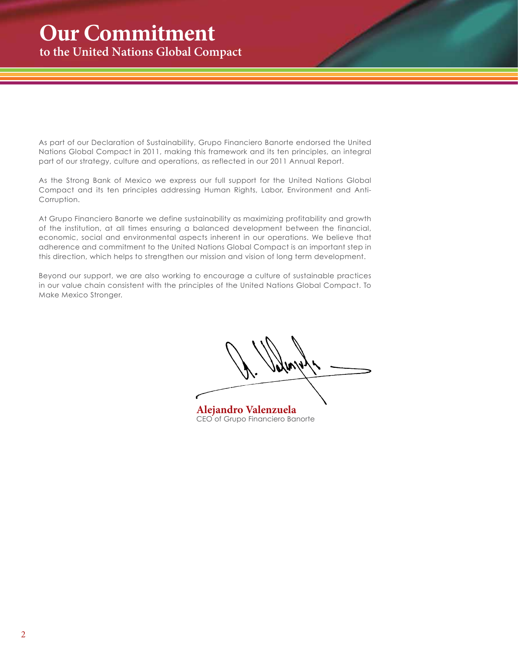<span id="page-1-0"></span>As part of our Declaration of Sustainability, Grupo Financiero Banorte endorsed the United Nations Global Compact in 2011, making this framework and its ten principles, an integral part of our strategy, culture and operations, as reflected in our 2011 Annual Report.

As the Strong Bank of Mexico we express our full support for the United Nations Global Compact and its ten principles addressing Human Rights, Labor, Environment and Anti-Corruption.

At Grupo Financiero Banorte we define sustainability as maximizing profitability and growth of the institution, at all times ensuring a balanced development between the financial, economic, social and environmental aspects inherent in our operations. We believe that adherence and commitment to the United Nations Global Compact is an important step in this direction, which helps to strengthen our mission and vision of long term development.

Beyond our support, we are also working to encourage a culture of sustainable practices in our value chain consistent with the principles of the United Nations Global Compact. To Make Mexico Stronger.

**Alejandro Valenzuela** CEO of Grupo Financiero Banorte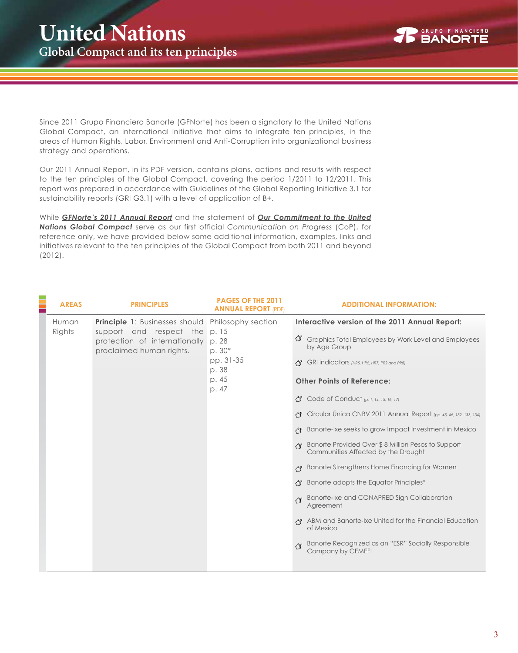

Since 2011 Grupo Financiero Banorte (GFNorte) has been a signatory to the United Nations Global Compact, an international initiative that aims to integrate ten principles, in the areas of Human Rights, Labor, Environment and Anti-Corruption into organizational business strategy and operations.

Our 2011 Annual Report, in its PDF version, contains plans, actions and results with respect to the ten principles of the Global Compact, covering the period 1/2011 to 12/2011. This report was prepared in accordance with Guidelines of the Global Reporting Initiative 3.1 for sustainability reports (GRI G3.1) with a level of application of B+.

While *[GFNorte's 2011 Annual Report](http://www.banorte.com/pv_obj_cache/pv_obj_id_373E6B7E4B3376BB80F19A0727C193D306187B00/filename/Informe_Anual_2011_E.pdf)* and the statement of *[Our Commitment to the United](#page-1-0) [Nations Global Compact](#page-1-0)* serve as our first official *Communication on Progress* (CoP), for reference only, we have provided below some additional information, examples, links and initiatives relevant to the ten principles of the Global Compact from both 2011 and beyond (2012).

| <b>AREAS</b>    | <b>PRINCIPLES</b>                                                | <b>PAGES OF THE 2011</b><br><b>ANNUAL REPORT (PDF)</b> | <b>ADDITIONAL INFORMATION:</b>                                                            |
|-----------------|------------------------------------------------------------------|--------------------------------------------------------|-------------------------------------------------------------------------------------------|
| Human<br>Rights | <b>Principle 1:</b> Businesses should<br>support and respect the | Philosophy section<br>p. 15                            | Interactive version of the 2011 Annual Report:                                            |
|                 | protection of internationally<br>proclaimed human rights.        | p. 28<br>$p.30*$                                       | Graphics Total Employees by Work Level and Employees<br>by Age Group                      |
|                 |                                                                  | pp. 31-35<br>p. 38                                     | GRI indicators (HR5, HR6, HR7, PR2 and PR8)                                               |
|                 |                                                                  | p. 45<br>p. 47                                         | <b>Other Points of Reference:</b>                                                         |
|                 |                                                                  |                                                        | <b>了 Code of Conduct</b> (p. 1, 14, 15, 16, 17)                                           |
|                 |                                                                  |                                                        | ← Circular Unica CNBV 2011 Annual Report (pp. 45, 46, 132, 133, 134)                      |
|                 |                                                                  |                                                        | Banorte-Ixe seeks to grow Impact Investment in Mexico                                     |
|                 |                                                                  |                                                        | Banorte Provided Over \$8 Million Pesos to Support<br>Communities Affected by the Drought |
|                 |                                                                  |                                                        | Banorte Strengthens Home Financing for Women                                              |
|                 |                                                                  |                                                        | Banorte adopts the Equator Principles*                                                    |
|                 |                                                                  |                                                        | Banorte-Ixe and CONAPRED Sign Collaboration بجم<br>Agreement                              |
|                 |                                                                  |                                                        | ABM and Banorte-Ixe United for the Financial Education<br>of Mexico                       |
|                 |                                                                  |                                                        | Banorte Recognized as an "ESR" Socially Responsible<br>Company by CEMEFI                  |
|                 |                                                                  |                                                        |                                                                                           |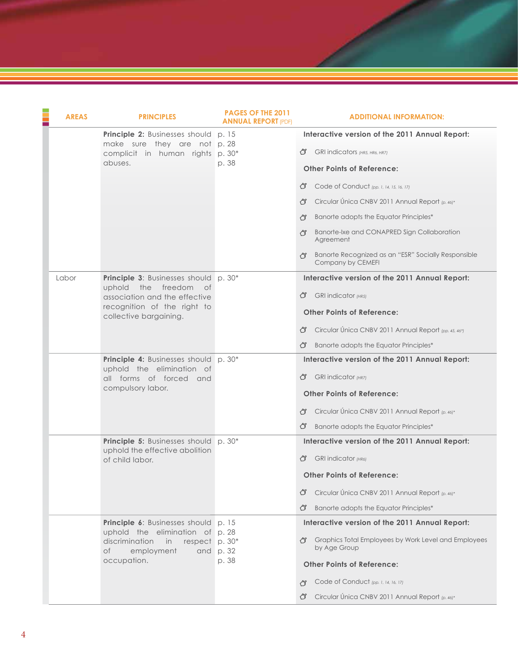| <b>AREAS</b> | <b>PRINCIPLES</b>                                                                                                                                                  | <b>PAGES OF THE 2011</b><br><b>ANNUAL REPORT (PDF)</b> | <b>ADDITIONAL INFORMATION:</b>                                                                                                                                                                                                                                                                      |
|--------------|--------------------------------------------------------------------------------------------------------------------------------------------------------------------|--------------------------------------------------------|-----------------------------------------------------------------------------------------------------------------------------------------------------------------------------------------------------------------------------------------------------------------------------------------------------|
|              | <b>Principle 2:</b> Businesses should p. 15<br>make sure they are not p. 28<br>complicit in human rights p. 30*<br>abuses.                                         | p. 38                                                  | Interactive version of the 2011 Annual Report:<br>GRI indicators (HR5, HR6, HR7)<br>(3<br><b>Other Points of Reference:</b>                                                                                                                                                                         |
|              |                                                                                                                                                                    |                                                        | (3<br>Code of Conduct (pp. 1, 14, 15, 16, 17)<br>Circular Única CNBV 2011 Annual Report (p. 46)*<br>∕₹<br>Banorte adopts the Equator Principles*<br>俘<br>Banorte-Ixe and CONAPRED Sign Collaboration<br>ぺる<br>Agreement<br>Banorte Recognized as an "ESR" Socially Responsible<br>Company by CEMEFI |
| Labor        | <b>Principle 3: Businesses should p. 30*</b><br>uphold the freedom<br>of<br>association and the effective<br>recognition of the right to<br>collective bargaining. |                                                        | Interactive version of the 2011 Annual Report:<br><b>GRI</b> indicator (HR5)<br>G<br><b>Other Points of Reference:</b><br>Circular Única CNBV 2011 Annual Report (pp. 45, 46*)<br>G<br>Banorte adopts the Equator Principles*<br>G                                                                  |
|              | <b>Principle 4:</b> Businesses should p. 30*<br>uphold the elimination of<br>all forms of forced and<br>compulsory labor.                                          |                                                        | Interactive version of the 2011 Annual Report:<br><b>GRI</b> indicator (HR7)<br>(3<br><b>Other Points of Reference:</b><br>Circular Única CNBV 2011 Annual Report (p. 46)*<br>くる<br>Banorte adopts the Equator Principles*<br>G                                                                     |
|              | <b>Principle 5:</b> Businesses should p. 30*<br>uphold the effective abolition<br>of child labor.                                                                  |                                                        | Interactive version of the 2011 Annual Report:<br><b>GRI</b> indicator (HR6)<br>ಆ<br><b>Other Points of Reference:</b><br>Circular Única CNBV 2011 Annual Report (p. 46)*<br>Œ<br>Banorte adopts the Equator Principles*<br>G                                                                       |
|              | <b>Principle 6:</b> Businesses should p. 15<br>uphold the elimination of p. 28<br>discrimination<br>in<br>respect p. 30*<br>employment<br>of<br>occupation.        | and $p.32$<br>p. 38                                    | Interactive version of the 2011 Annual Report:<br>Graphics Total Employees by Work Level and Employees<br>ぐず<br>by Age Group<br><b>Other Points of Reference:</b><br>Code of Conduct (pp. 1, 14, 16, 17)<br>行<br>Circular Única CNBV 2011 Annual Report (p. 46)*<br>্য                              |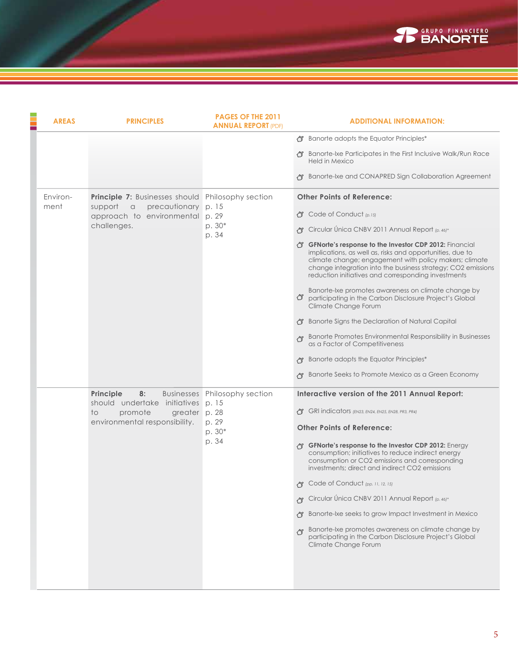

| <b>AREAS</b>     | <b>PRINCIPLES</b>                                                                                                                                        | PAGES OF THE 2011<br><b>ANNUAL REPORT (PDF)</b>            | <b>ADDITIONAL INFORMATION:</b>                                                                                                                                                                                                                                                                                                                                                                                                                                                                                                                                                                                                                                                                                                                                                                                                   |
|------------------|----------------------------------------------------------------------------------------------------------------------------------------------------------|------------------------------------------------------------|----------------------------------------------------------------------------------------------------------------------------------------------------------------------------------------------------------------------------------------------------------------------------------------------------------------------------------------------------------------------------------------------------------------------------------------------------------------------------------------------------------------------------------------------------------------------------------------------------------------------------------------------------------------------------------------------------------------------------------------------------------------------------------------------------------------------------------|
|                  |                                                                                                                                                          |                                                            | Ranorte adopts the Equator Principles*<br>Banorte-Ixe Participates in the First Inclusive Walk/Run Race<br>Held in Mexico                                                                                                                                                                                                                                                                                                                                                                                                                                                                                                                                                                                                                                                                                                        |
|                  |                                                                                                                                                          |                                                            | Banorte-Ixe and CONAPRED Sign Collaboration Agreement                                                                                                                                                                                                                                                                                                                                                                                                                                                                                                                                                                                                                                                                                                                                                                            |
| Environ-<br>ment | <b>Principle 7:</b> Businesses should Philosophy section<br>precautionary p. 15<br>support<br>$\alpha$<br>approach to environmental p. 29<br>challenges. | p. 30*<br>p. 34                                            | <b>Other Points of Reference:</b><br><b>①</b> Code of Conduct (p.15)<br>→ Circular Única CNBV 2011 Annual Report (p. 46)*<br>GFNorte's response to the Investor CDP 2012: Financial<br>implications, as well as, risks and opportunities, due to<br>climate change; engagement with policy makers; climate<br>change integration into the business strategy; CO2 emissions<br>reduction initiatives and corresponding investments<br>Banorte-Ixe promotes awareness on climate change by<br>participating in the Carbon Disclosure Project's Global<br>Climate Change Forum<br>Banorte Signs the Declaration of Natural Capital<br>Banorte Promotes Environmental Responsibility in Businesses<br>as a Factor of Competitiveness<br>Banorte adopts the Equator Principles*<br>Banorte Seeks to Promote Mexico as a Green Economy |
|                  | Principle<br>8:<br>should undertake initiatives p. 15<br>promote<br>greater p. 28<br>to.<br>environmental responsibility.                                | Businesses Philosophy section<br>p. 29<br>$p.30*$<br>p. 34 | Interactive version of the 2011 Annual Report:<br>GRI indicators (EN23, EN24, EN25, EN28, PR3, PR4)<br><b>Other Points of Reference:</b><br>GFNorte's response to the Investor CDP 2012: Energy<br>consumption; initiatives to reduce indirect energy<br>consumption or CO2 emissions and corresponding<br>investments; direct and indirect CO2 emissions<br>骨 Code of Conduct (pp. 11, 12, 15)<br>Circular Única CNBV 2011 Annual Report (p. 46)*<br>Banorte-Ixe seeks to grow Impact Investment in Mexico<br>Banorte-Ixe promotes awareness on climate change by<br>participating in the Carbon Disclosure Project's Global<br>Climate Change Forum                                                                                                                                                                            |